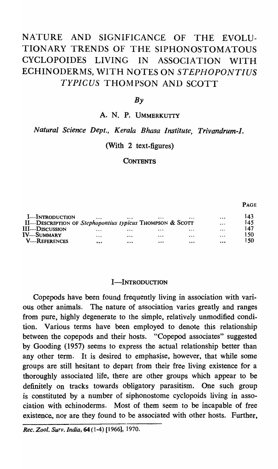# NATURE AND SIGNIFICANCE OF THE EVOLU-TIONARY TRENDS OF THE SIPHONOSTOMATOUS CYCLOPOIDES LIVING IN ASSOCIATION WITH ECHINODERMS, WITH NOTES ON *STEPHOPONTIUS TYPICUS* THOMPSON AND SCOTT

# $Bv$

A. N. P. UMMERKUTTY

# *Natural Science Dept., Kerala Bhasa Institute, Trivandrum-l.*

# (With 2 text-figures)

## **CONTENTS**

#### 143 I-INTRODUCTION  $\dddotsc$  $\ddotsc$ J45 II-DESCRIPTION OF *Stephopontius typicus* ThOMPSON & SCOTT  $\dddotsc$ 147 III-DISCUSSION  $\ddotsc$ 150 IV—Summary  $\ddotsc$ **V-REFERENCES** 150  $\ddotsc$  $\ddotsc$  $\sim$  $\dddotsc$  $\ddotsc$

### I-INTRODUCTION

Copepods have been found frequently living in association with various other animals. The nature of association varies greatly and ranges from pure, highly degenerate to the simple, relatively unmodified condition. Various terms have been employed to denote this relationship between the copepods and their hosts. "Copepod associates" suggested by Gooding (1957) seems to express the actual relationship better than any other term. It is desired to emphasise, however, that while some groups are still hesitant to depart from their free living existence for a thoroughly associated life, there are other groups which appear to be definitely on tracks towards obligatory parasitism. One such group is constituted by a number of siphonostome cyclopoids living in association with echinoderms. Most of them Seem to be incapable of free existence, nor are they found to be associated with other hosts. Further,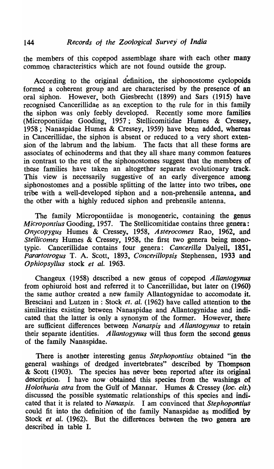the members of this copepod assemblage share with each other many common characteristics which are not found outside the group.

, According to the original definition, the siphonostome cyclopoids formed a coherent group and are characterised by the presence of an oral siphon. However, both Giesbrecht (1899) and Sars (1915) have recognised Cancerillidae as an exception to the rule for in this family the siphon was only feebly developed. Recently some more families (Micropontiidae Gooding, 1957; Stellicomitidae Humes & Cressey, 1958; Nanaspidae Humes & Cressey, 1959) have been added, whereas in Cancerillidae, the siphon is absent or reduced to a very short extension of the labrum and the labium. The facts that all these forms are associates of echinoderms and that they all share many common features in contrast to the rest of the siphonostomes suggest that the members of these families have taken an altogether separate evolutionary track. This view is necessarily suggestive of an early divergence among siphonostomes and a possible splitting of the latter into two tribes, one tribe with a well-developed siphon and a non-prehensile antenna, and the other with a highly reduced siphon and prehensile antenna.

The family Micropontiidae is monogeneric, containing the genus *Micropontius* Gooding, 1957. The Stellicomitidae contains three genera: *Onycopygus* Humes & Cressey, 1958, Asterocomes Rao, 1962, and *Stellicomes* Humes & Cressey, 1958, the first two genera being monotypic. Cancerillidae contains four genera: *Cancerilla* Dalyell, 1851, *Parartotrogus* T. A. Scott, 1893, *Concerillopsis* Stephensen, 1933 and *Ophiopsyllus* stock *et al.* 1963.

Changeux (1958) described a new genus of copepod *Allantogynus*  from ophiuroid host and referred it to Cancerillidae, but later on (1960) the same author created a new family Allantogynidae to accomodate it. Bresciani and Lutzen in : Stock *et. al.* (1962) have called attention to the similarities existing between Nanaspidae and Allantogynidae and indicated that the latter is only a synonym of the former. However, there are sufficient differences between N *anaspis* and *A llantogynus* to retain their separate identities. *A llantogynus* will thus form the second genus of the family Nanaspidae.

There is another interesting genus *Stephopontius* obtained "in the general washings of dredged invertebrates" described by Thompson & Scott (1903). The species has never been reported after its original description. I have now' obtained this species from the washings of *Holothuria atra* from the Gulf of Mannar. Humes & Cressey *(loc. cit.)*  discussed the possible systematic relationships of this species and indi. cated that it is related to *Nanaspis.* I am convinced that *Stephopontius*  could fit into the definition of the family Nanaspidae as modified by Stock *et al.* (1962). But the differences between the two genera are described in table I.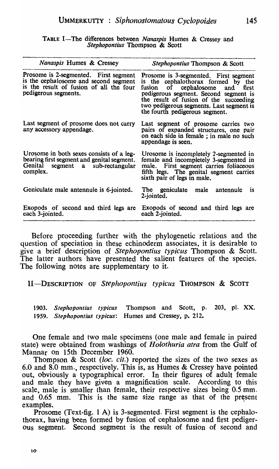TABLE I-The differences between *Nanasp;s* Humes & Cressey and *Stephopontius* Thompson & Scott

| Nanaspis Humes & Cressey                                                                                                                          | Stephopontius Thompson & Scott                                                                                                                                                                                                                                                        |
|---------------------------------------------------------------------------------------------------------------------------------------------------|---------------------------------------------------------------------------------------------------------------------------------------------------------------------------------------------------------------------------------------------------------------------------------------|
| Prosome is 2-segmented. First segment<br>is the cephalosome and second segment<br>is the result of fusion of all the four<br>pedigerous segments. | Prosome is 3-segmented. First segment<br>is the cephalothorax formed by the<br>of cephalosome and<br>fusion<br>first<br>pedigerous segment. Second segment is<br>the result of fusion of the succeeding<br>two pedigerous segments. Last segment is<br>the fourth pedigerous segment. |
| Last segment of prosome does not carry<br>any accessory appendage.                                                                                | Last segment of prosome carries two<br>pairs of expanded structures, one pair<br>on each side in female; in male no such<br>appendage is seen.                                                                                                                                        |
| Urosome in both sexes consists of a leg-<br>bearing first segment and genital segment.<br>Genital segment a sub-rectangular<br>complex.           | Urosome is incompletely 2-segmented in<br>female and incompletely 3-segmented in<br>male. First segment carries foliaceous<br>fifth legs. The genital segment carries<br>sixth pair of legs in male.                                                                                  |
| Geniculate male antennule is 6-jointed.                                                                                                           | The geniculate male antennule<br><i>is</i><br>2-jointed.                                                                                                                                                                                                                              |
| Exopods of second and third legs are<br>each 3-jointed.                                                                                           | Exopods of second and third legs are<br>each 2-jointed.                                                                                                                                                                                                                               |

Before proceeding further with the phylogenetic relations and the question of speciation in these echinoderm associates, it is desirable to give a brief description of *Stephopontius typicus* Thompson & Scott. The latter authors have presented the salient features of the species. The following notes are supplementary to it.

II-DESCRIPTION OF *Stephopontius typicus* THOMPSON & SCOTT

*1903. Stepllopolltius typicus* Thompson and Scott, p. 203, pI. XX. *1959. Stephopontius typicus:* Humes and Cressey, p. 212.

One female and two male specimens (one male and female in paired state) were obtained from washings of *Holothuria atra* from the Gulf of Mannar on 15th December 1960.

Thompson & Scott (loc. cit.) reported the sizes of the two sexes as 6.0 and 8.0 mm., respectively. This is, as Humes & Cressey have pointed out, obviously a typographical error. In their figures of adult female and male they have given a magnification scale. According to this scale, male is smaller than female, their respective sizes being 0.5 mm. and 0.65 mm. This is the same size range as that of the present examples.

Prosome (Text-fig. 1 A) is 3-segmented. First segment is the cephalothorax, having been formed by fusion of cephalosome and first pedigerous segment. Second segment is the result of fusion of second and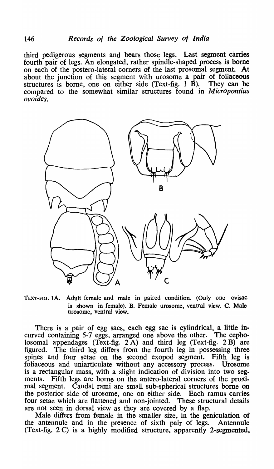third pedigerous segments and bears those legs. Last segment carries fourth pair of legs. An elongated, rather spindle-shaped process is borne on each of the postero-]ateral comers of the last prosomal segment. At about the junction of this segment with urosome a pair of foliaceous structures is borne, one on either side (Text-fig.  $1 \overrightarrow{B}$ ). They can be compared to the somewhat similar structures found in *Micropontius ovoides.* 



TEXT-FIG. lA. Adult female and male in paired condition. (Only one ovisac is shown in female). B. Female urosome, ventral view. C. Male urosome, ventral view.

There is a pair of egg sacs, each egg sac is cylindrical, a little incurved containing 5-7 eggs, arranged one above the other. The cepbolosomal appendages (Text-fig. 2 A) and third leg (Text-fig. 2 B) are figured. The third leg differs from the fourth leg in possessing three spines and four setae on the second exopod segment. Fifth leg is foliaceous and uniarticulate without any accessory process. Urosome is a rectangular mass., with a slight indication of division into two segments. Fifth legs are borne on the antero-lateral corners of the proximal segment. Caudal rami are small sub-spherical structures borne on the posterior side of urosome, one on either side. Each ramus carries four setae which are flattened and non-jointed. These structural details are not seen in dorsal view as they are covered by a flap.

Male differs from female in the smaller size, in the geniculation of the antennule and in the presence of sixth pair of legs. Antennule (Text-fig. 2 C) is a highly modified structure, apparently 2-segmented,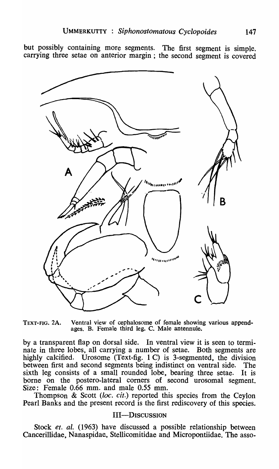but possibly containing more segments. The first segment is simple. carrying three setae on anterior margin; the second segment is covered



TEXT-FIG. 2A. Ventral view of cephalosome of female showing various appendages. B. Female third leg. C. Male antennule.

by a transparent flap on dorsal side. In ventral view it is seen to terminate in three lobes, all carrying a number of setae. Both segments are highly calcified. Urosome (Text-fig. 1 C) is 3-segmented, the division between first and second segments being indistinct on ventral side. The sixth leg consists of a small rounded lobe, bearing three setae. It is borne on the postero-lateral corners of second urosomal segment. Size: Female 0.66 mm. and male 0.55 mm.

Thompson & Scott *(loc. cit.)* reported this species from the Ceylon Pearl Banks and the present record is the first rediscovery of this species.

### III-DISCUSSION

Stock *et. al.* (1963) have discussed a possible relationship between Cancerillidae, Nanaspidae, Stellicomitidae and Micropontiidae. The asso-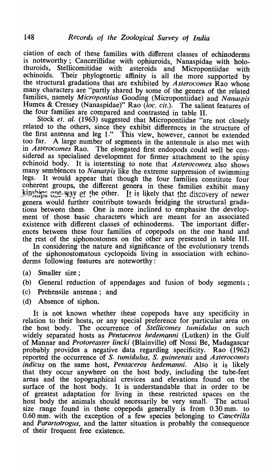ciation of each of these families with. different classes of echinoderms is noteworthy; Cancerillidae with ophiuroids, Nanaspidae with holothuroids, Stellicomitidae with asteroids and Micropontiidae with echinoids. Their phylogenetic affinity is all the more supported by Their phylogenetic affinity is all the more supported by the structural gradations that are exhibited by *Asterocomes* Rao whose many characters are "partly shared by some of the genera of the related families, namely *Micropontius* Gooding (Micropontiidae) and *Nanaspis* Humes & Cressey (Nanaspidae)" Rao (loc. cit.). The salient features of the four families are compared and contrasted in table II.

Stock *et. al.* (1963) suggested that Micropontiidae "are not closely related to the others, since they exhibit differences in the structure of the first antenna and leg 1." This view, however, cannot be extended<br>too far. A large number of segments in the antennule is also met with A large number of segments in the antennule is also met with in *Asterocomes* Rao. The elongated first endopods could well be considered as specialised development for firmer attachment to the spiny echinoid body. It is interesting to note that  $Asterocomes$  also shows It is interesting to note that *Asterocomes*, also shows many semblences to *Nanaspis* like the extreme suppression of swimming legs. It would appear that though the four families constitute four coherent groups., the different genera in these families exhibit many  $\lim_{\Delta t\to\infty}$  one way  $\partial$ r the other. It is likely that the discovery of newer genera would further contribute towards bridging the structural gradations between them. One is more inclined to emphasise the development 'of those basic characters which are meant for an associated existence with different classes of echinoderms. The important differences between these four families of copepods on the one hand and the rest of the siphonostomes on the other are presented in table III.

In considering the nature and significance of the evolutionary trends of the siphonostomatous cyclopoids living in association with echinoderms following features are noteworthy:

- (a) Smaller size;
- (b) General reduction of appendages and fusion of body segments;
- (c) Prehensile antenna; and
- (d) Absence of siphon.

It is not known whether these copepods have any specificity in relation to their hosts, or any special preference for particular area on the host body. The occurrence of *Stellicomes tumidulus* on such widely separated hosts as *Pentaceros hedemanni* (Lutken) in the Gulf of Mannar and *Protoreaster Lincki* (Blainville) off Nossi Be, Madagascar probably provides a negative data regarding specificity. Rao (1962) reported the occurrence of S. *tumidulus,* S. *guineensis* and *Asterocomes indicus* on the same host, *Pentaceros hedemanni*. Also it is likely that they occur anywhere on the host body, including the tube-feet areas and the topographical crevices and elevations found on the surface of the host body. It is understandable that in order to be of greatest adaptation for living in these restricted spaces on the host body the animals should necessarily be very small. The actual size range found in these copepods generally is from 0.30 mm. to 0.60 mm. with the exception of a few species belonging to *Cancerilla*  and *Parartotrogus,* and the latter situation is probably the consequence of their frequent free existence.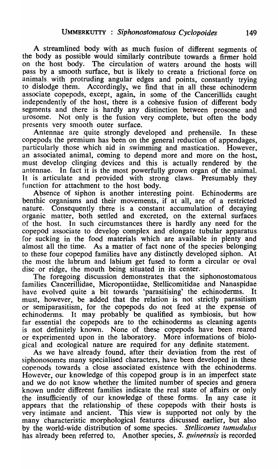A streamlined body with as much fusion of different segments of the body as possible would similarly contribute towards a firmer hold on the host body. The circulation of waters around the hosts will pass by a smooth surface, but is likely to create a frictional force on animals. with protruding angular edges and points, constantly trying to dislodge them. Accordingly, we find that in all these echinoderm associate copepods, except, again, in some of the Cancerillids caught independently of the host, there is a cohesive fusion of different body segments and there is hardly any distinction between prosome and urosome. Not only is the fusion very complete, but often the body presents very smooth outer surface.

Antennae are quite strongly developed and prehensile. In these copepods the premium has been on the general reduction of appendages, particularly those which aid in swimming and mastication. However, an associated animal, coming to depend more and more on the host, must develop clinging devices and this is actually rendered by the antennae. In fact it is the most powerfully grown organ of the animal. It is articulate and provided with strong claws. Presumably they function for attachment to the host body.

Absence of siphon is another interesting point. Echinoderms are benthic organisms and their movements, if at all, are of a restricted nature. Consequently there is a constant accumulation of decaying organic matter, both settled and excreted, on the external surfaces of the host. In such circumstances there is hardly any need for the copepod associate to develop complex and elongate tubular apparatus for sucking in the food materials which are available in plenty and almost all the time. As a matter of fact none of the species belonging to these four copepod families have any distinctly developed siphon. At the most the labrum and labium get fused to form a circular or oval disc or ridge, the mouth being situated in its center.

The foregoing discussion demonstrates that the siphonostomatous families Cancerillidae, Micropontiidae, Stellicomitidae and Nanaspidae have evolved quite a bit towards 'parasitising' the echinoderms. It must, however, be added that the relation is not strictly parasitism or semiparasitism, for the copepods do not feed at the expense of echinoderms. It may probably be qualified as symbiosis, but how far essential the copepods are to the echinoderms as cleaning agents is not definitely known. None of these copepods have been reared or experimented upon in the laboratory. More informations of biological and ecological nature are required for any definite statement.

As we have already found, after their deviation from the rest of siphonosomes many specialised characters, have been developed in these copepods towards a close associated existence with the echinoderms. However, our knowledge of this copepod group is in an imperfect state and we do not know whether the limited number of species and genera known under different families indicate the real state of affairs or only the insufficiently of our knowledge of these forms. In any case it appears that the relationship of these copepods with their hosts is very intimate and ancient. This view is supported not only by the many characteristic morphological features discussed earlier, but also by the world-wide distribution of some species. *Stellicomes tumudulus* has already been referred to, Another species, S. *guineensis* is recorded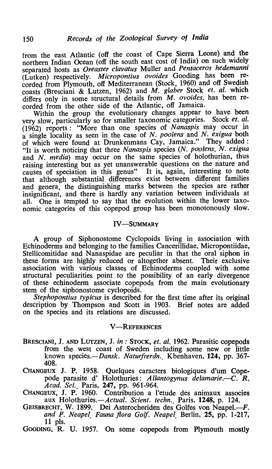from the east Atlantic (off the coast of Cape Sierra Leone) and the northern Indian Ocean (off the south east cost of lndia) on such widely separated hosts as *Oreaster clavatus* Muller and *Pentaceros hedemanni*  (Lutken) respectively. *Micropontius ovoides* Gooding has been recorded from Plymouth, off Mediterranean (Stock, 1960) and off Swedish coasts (Bresciani & Lutzen, 1962) and M. *glaber* Stock *et. al.* which differs only in some structural details from M. ovoides, has been recorded from the other side of the Atlantic, off Jamaica.

Within the group the evolutionary changes appear to have been<br>w slow particularly so for smaller taxonomic categories. Stock *et. al.* very slow, particularly so for smaller taxonomic categories. (1962) reports: "More than one species of N *anaspis* may occur in a single locality as seen in the case of N. *poo/ens* and N. *exigua* both of which were found at Drunkenmans Cay, Jamaica." They added: "It is worth noticing that three *Nanaspis* species *(N. poolens,* N. *exigua*  and *N. media*) may occur on the same species of holothurian, thus raising interesting but as yet unanswerable questions on the nature and causes of speciation in this genus" It is, again, interesting to note that although substantial differences exist between different families and genera, the distinguishing marks between the species are rather insignificant, and there is hardly any variation between individuals at all. One is tempted to say that the evolution within the lower taxonomic categories of this copepod group has been monotonously slow.

# IV-SUMMARY

A group of Siphonostome Cyclopoids living in association with Echinoderms and belonging to the families Cancerillidae, Micropontiidae, Stellicomitidae and Nanaspidae are peculiar in that the oral siphon in these forms are highly reduced or altogether absent. Their exclusive association with various classes of Echinoderms coupled with some structural peculiarities point to the possibility of an early divergence of these echinoderm associate copepods from the main evolutionary stem of the siphonostome cyclopoids.

*Stephopontius typicus* is described for the first time after its original description by Thompson and Scott in 1903. Brief notes are added on the species and its relations are discussed.

### **V-REFERENCES**

- BRESCIANI, J. AND LUTZEN, J. *in*: STOCK, *et. al.* 1962. Parasitic copepods from the west coast of Sweden including some new or little known species.-*Dansk. Naturfrerdn.*, Kbenhaven, 124, pp. 367-408.
- CHANGEUX J. P. 1958. Quelques caracters biologiques d'um Copepode parasite d' Holothuries: *A llantogynus delamarie.-C. R. A cad. Sci.,* Paris, 247, pp. 961-964.
- CHANGEUX, J. P. 1960. Contribution a l'etude des animaux associes aux *Holothuries.-Actual. Scient. techn.,* Paris, 1248, p. 124.
- GEISBRECHT, W. 1899. Dei Asterocheriden des Golfes von Neapel.-F. *and F. Neapel, Fauna flora Golf. Neapel,* Berlin, 25, pp. 1-217, 11 pIs.
- GOODING, R. U. 1957. On some copepods from Plymouth mostly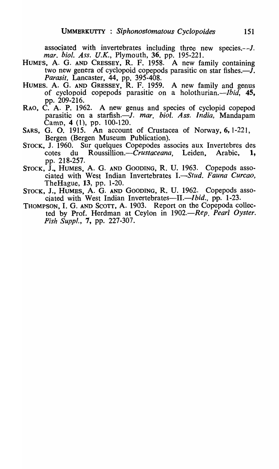associated with invertebrates including three new species.--1. *mar. bioI. Ass. U.K.,* Plymouth, 36, pp. 195-221.

- HUMES, A. G. AND CRESSEY, R. F. 1958. A new family containing two new genera of cyclopoid copepods parasitic on star fishes. $-J$ . *Parasit*, Lancaster, 44, pp. 395-408.
- HUMES. A. G. AND GRESSEY, R. F. 1959. A new family and genus of cyclopoid copepods parasitic on a holothurian.—Ibid,  $45$ , pp. 209-216.
- RAO, C. A. P. 1962. A new genus and species of cyclopid copepod parasitic on a starfish.-J. *mar. bioI. Ass. India,* Mandapam Camp, 4 (1), pp. 100-120.
- SARS, G. O. 1915. An account of Crustacea of Norway, 6, 1-221, Bergen (Bergen Museum Publication).
- STOCK., J. 1960. Sur quelques Copepodes associes aux Invertebres des cotes du *Roussi1lion.-Crustaceana,* Leiden, Arabic, 1, pp. 218-257.
- STOCK, J., HUMES, A. G. AND GOODING, R. U. 1963. Copepods associated with West Indian Invertebrates I.—Stud. Fauna Curcao, TheHague, 13, pp. 1-20.
- STOCK, J., HUMES, A. G. AND GOODING, R. U. 1962. Copepods associated with West Indian Invertebrates—II.—Ibid., pp. 1-23.
- THOMPSON, I. G. AND SCOTT, A. 1903. Report on the Copepoda collected by Prof. Herdman at Ceylon in 1902.-Rep. Pearl Oyster. *Fish Suppl.,* 7, pp. 227-307.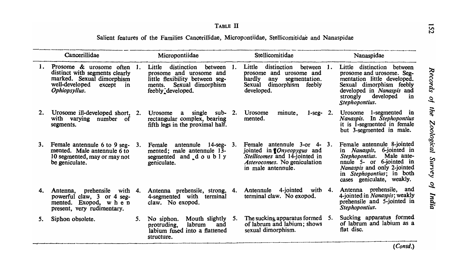Salient features of the Families Cancerillidae, Micropontiidae, Stellicomitidae and Nanaspidae

|    | Cancerillidae                                                                                                                                |      | Micropontiidae                                                                                                                                        |           | Stellicomitidae                                                                                                                                                         |      | Nanaspidae                                                                                                                                                                                                   |
|----|----------------------------------------------------------------------------------------------------------------------------------------------|------|-------------------------------------------------------------------------------------------------------------------------------------------------------|-----------|-------------------------------------------------------------------------------------------------------------------------------------------------------------------------|------|--------------------------------------------------------------------------------------------------------------------------------------------------------------------------------------------------------------|
|    | 1. Prosome & urosome often<br>distinct with segments clearly<br>marked. Sexual dimorphism<br>well-developed<br>except<br>in<br>Ophiopsyllus. | - 1. | distinction<br>between 1.<br>Little<br>prosome and urosome and<br>little flexibility between seg-<br>Sexual dimorphism<br>ments.<br>feebly developed. |           | Little<br>distinction<br>between<br>prosome and urosome and<br>hardly<br>segmentation.<br>any<br>dimorphism feebly<br>Sexual<br>developed.                              | -1.  | Little distinction between<br>prosome and urosome. Seg-<br>mentation little developed.<br>Sexual dimorphism feebly<br>developed in Nanaspis and<br>developed<br>strongly<br>in<br>Stephopontius.             |
| 2. | Urosome ill-developed short,<br>with varying number of<br>segments.                                                                          | 2.   | Urosome<br>single<br>sub-<br>a<br>rectangular complex, bearing<br>fifth legs in the proximal half.                                                    | <b>2.</b> | Urosome<br>minute,<br>$1$ -seg-<br>mented.                                                                                                                              | - 2. | 1-segmented in<br>Urosome<br>Nanaspis. In Stephopontius<br>it is 1-segmented in female<br>but 3-segmented in male.                                                                                           |
| 3. | Female antennule 6 to 9 seg-<br>mented. Male antennule 6 to<br>10 segmented, may or may not<br>be geniculate.                                | 3.   | antennule 14-seg- 3.<br>Female<br>mented; male antennule 13-<br>segmented and doubly<br>geniculate.                                                   |           | Female antennule 3-or 4-<br>jointed in $\mathbf{I}$ <i>Onycopygus</i> and<br><i>Stellicomes</i> and 14-jointed in<br>Asterocomes. No geniculation<br>in male antennule. | 3.   | Female antennule 8-jointed<br>in Nanaspis, 6-jointed in<br>Male ante-<br>Stephopontius.<br>nnule 5- or 6-jointed in<br>Nanaspis and only 2-jointed<br>in Stephopontius; in both<br>cases geniculate, weakly. |
| 4. | prehensile<br>with $4.$<br>Antenna,<br>powerful claw, 3 or 4 seg-<br>mented. Exopod, w h e n<br>present, very rudimentary.                   |      | Antenna prehensile, strong, 4.<br>4-segmented with terminal<br>claw. No exopod.                                                                       |           | with<br>4-jointed<br>Antennule<br>terminal claw. No exopod.                                                                                                             | 4.   | Antenna prehensile, and<br>4-jointed in <i>Nanaspis</i> ; weakly<br>prehensile and 5-jointed in<br>Stephopontius.                                                                                            |
| 5. | Siphon obsolete.                                                                                                                             | 5.   | Mouth slightly 5.<br>No siphon.<br>labrum<br>protruding,<br>and<br>labium fused into a flattened<br>structure.                                        |           | The sucking apparatus formed<br>of labrum and labium; shows<br>sexual dimorphism.                                                                                       | 5.   | Sucking apparatus formed<br>of labrum and labium as a<br>flat disc.                                                                                                                                          |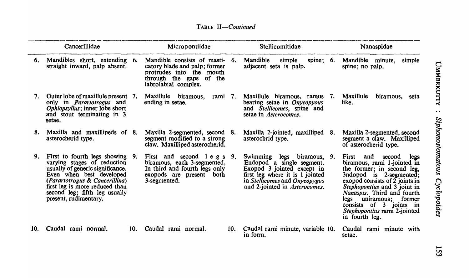|     | Cancerillidae                                                                                                                                                                                                                                                |     | Micropontiidae                                                                                                                                 |     | Stellicomitidae                                                                                                                                                                                          | Nanaspidae                                                                                                                                                                                                                                                                                                                  |
|-----|--------------------------------------------------------------------------------------------------------------------------------------------------------------------------------------------------------------------------------------------------------------|-----|------------------------------------------------------------------------------------------------------------------------------------------------|-----|----------------------------------------------------------------------------------------------------------------------------------------------------------------------------------------------------------|-----------------------------------------------------------------------------------------------------------------------------------------------------------------------------------------------------------------------------------------------------------------------------------------------------------------------------|
| 6.  | Mandibles short, extending 6.<br>straight inward, palp absent.                                                                                                                                                                                               |     | Mandible consists of masti- 6.<br>catory blade and palp; former<br>protrudes into the mouth<br>through the gaps of the<br>labrolabial complex. |     | <b>Mandible</b><br>spine; $6.$<br>simple<br>adjacent seta is palp.                                                                                                                                       | Mandible minute,<br>simple<br>spine; no palp.                                                                                                                                                                                                                                                                               |
| 7.  | Outer lobe of maxillule present 7.<br>only in <i>Parartotrogus</i> and<br>Ophiopsyllus; inner lobe short<br>and stout terminating in 3<br>setae.                                                                                                             |     | Maxillule biramous,<br>rami 7.<br>ending in setae.                                                                                             |     | Maxillule biramous, ramus<br>7.<br>bearing setae in Onycopyous<br>and Stellicomes, spine and<br>setae in Asterocomes.                                                                                    | Maxillule<br>biramous,<br>seta<br>like.                                                                                                                                                                                                                                                                                     |
| 8.  | Maxilla and maxillipeds of 8.<br>asterocherid type.                                                                                                                                                                                                          |     | Maxilla 2-segmented, second 8.<br>segment modified to a strong<br>claw. Maxilliped asterocherid.                                               |     | Maxilla 2-jointed, maxilliped<br>-8.<br>asterochrid type.                                                                                                                                                | Maxilla 2-segmented, second<br>segment a claw. Maxilliped<br>of asterocherid type.                                                                                                                                                                                                                                          |
| 9.  | First to fourth legs showing 9.<br>varying stages of reduction<br>usually of generic significance.<br>Even when best developed<br>(Parartotrogus & Cancerillina)<br>first leg is more reduced than<br>second leg; fifth leg usually<br>present, rudimentary. |     | First and second legs 9.<br>biramous, each 3-segmented,<br>In third and fourth legs only<br>exopods are present both<br>3-segmented.           |     | Swimming legs biramous, 9.<br>Endopod a single segment.<br>Exopod 3 jointed except in<br>first leg where it is 1 jointed<br>in <i>Stellicomes</i> and <i>Onycopygus</i><br>and 2-jointed in Asterocomes. | First and second legs<br>biramous, rami 1-jointed in<br>the former; in second leg,<br>3ndopod is 2-segmented;<br>exopod consists of 2 joints in<br>Stephopontius and 3 joint in<br>Nanaspis. Third and fourth<br>legs uniramous; former<br>consists of 3 joints in<br><i>Stephopontius</i> rami 2-jointed<br>in fourth leg. |
| 10. | Caudal rami normal.                                                                                                                                                                                                                                          | 10. | Caudal rami normal.                                                                                                                            | 10. | Caudal rami minute, variable 10.<br>in form.                                                                                                                                                             | Caudal rami minute with<br>setae.                                                                                                                                                                                                                                                                                           |